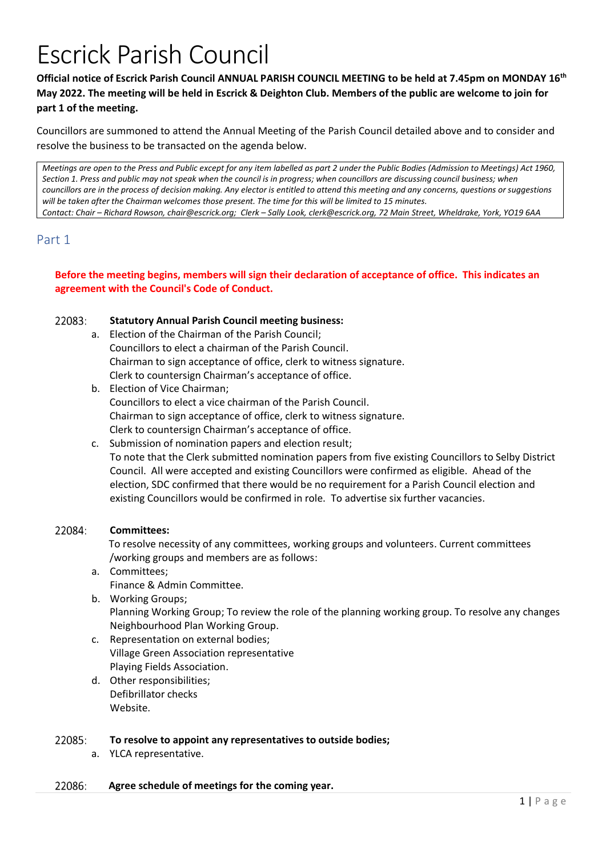# Escrick Parish Council

# **Official notice of Escrick Parish Council ANNUAL PARISH COUNCIL MEETING to be held at 7.45pm on MONDAY 16th May 2022. The meeting will be held in Escrick & Deighton Club. Members of the public are welcome to join for part 1 of the meeting.**

Councillors are summoned to attend the Annual Meeting of the Parish Council detailed above and to consider and resolve the business to be transacted on the agenda below.

*Meetings are open to the Press and Public except for any item labelled as part 2 under the Public Bodies (Admission to Meetings) Act 1960, Section 1. Press and public may not speak when the council is in progress; when councillors are discussing council business; when councillors are in the process of decision making. Any elector is entitled to attend this meeting and any concerns, questions or suggestions will be taken after the Chairman welcomes those present. The time for this will be limited to 15 minutes. Contact: Chair – Richard Rowson, chair@escrick.org; Clerk – Sally Look, clerk@escrick.org, 72 Main Street, Wheldrake, York, YO19 6AA*

# Part 1

### **Before the meeting begins, members will sign their declaration of acceptance of office. This indicates an agreement with the Council's Code of Conduct.**

### 22083: **Statutory Annual Parish Council meeting business:**

- a. Election of the Chairman of the Parish Council; Councillors to elect a chairman of the Parish Council. Chairman to sign acceptance of office, clerk to witness signature. Clerk to countersign Chairman's acceptance of office.
- b. Election of Vice Chairman; Councillors to elect a vice chairman of the Parish Council. Chairman to sign acceptance of office, clerk to witness signature. Clerk to countersign Chairman's acceptance of office.
- c. Submission of nomination papers and election result; To note that the Clerk submitted nomination papers from five existing Councillors to Selby District Council. All were accepted and existing Councillors were confirmed as eligible. Ahead of the election, SDC confirmed that there would be no requirement for a Parish Council election and existing Councillors would be confirmed in role. To advertise six further vacancies.

### 22084: **Committees:**

 To resolve necessity of any committees, working groups and volunteers. Current committees /working groups and members are as follows:

- a. Committees; Finance & Admin Committee.
- b. Working Groups; Planning Working Group; To review the role of the planning working group. To resolve any changes Neighbourhood Plan Working Group.
- c. Representation on external bodies; Village Green Association representative Playing Fields Association.
- d. Other responsibilities; Defibrillator checks Website.

### 22085: **To resolve to appoint any representatives to outside bodies;**

a. YLCA representative.

### 22086: **Agree schedule of meetings for the coming year.**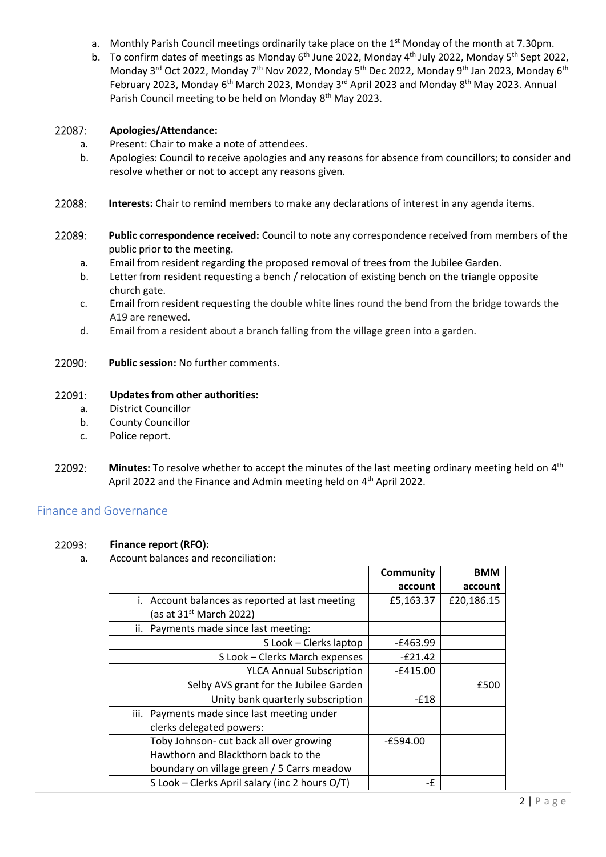- a. Monthly Parish Council meetings ordinarily take place on the 1<sup>st</sup> Monday of the month at 7.30pm.
- b. To confirm dates of meetings as Monday 6<sup>th</sup> June 2022, Monday 4<sup>th</sup> July 2022, Monday 5<sup>th</sup> Sept 2022, Monday 3<sup>rd</sup> Oct 2022, Monday 7<sup>th</sup> Nov 2022, Monday 5<sup>th</sup> Dec 2022, Monday 9<sup>th</sup> Jan 2023, Monday 6<sup>th</sup> February 2023, Monday 6<sup>th</sup> March 2023, Monday 3<sup>rd</sup> April 2023 and Monday 8<sup>th</sup> May 2023. Annual Parish Council meeting to be held on Monday 8<sup>th</sup> May 2023.

### 22087: **Apologies/Attendance:**

- a. Present: Chair to make a note of attendees.
- b. Apologies: Council to receive apologies and any reasons for absence from councillors; to consider and resolve whether or not to accept any reasons given.
- 22088: **Interests:** Chair to remind members to make any declarations of interest in any agenda items.
- 22089: **Public correspondence received:** Council to note any correspondence received from members of the public prior to the meeting.
	- a. Email from resident regarding the proposed removal of trees from the Jubilee Garden.
	- b. Letter from resident requesting a bench / relocation of existing bench on the triangle opposite church gate.
	- c. Email from resident requesting the double white lines round the bend from the bridge towards the A19 are renewed.
	- d. Email from a resident about a branch falling from the village green into a garden.
- 22090: **Public session:** No further comments.

### 22091: **Updates from other authorities:**

- a. District Councillor
- b. County Councillor
- c. Police report.
- 22092: Minutes: To resolve whether to accept the minutes of the last meeting ordinary meeting held on 4<sup>th</sup> April 2022 and the Finance and Admin meeting held on 4<sup>th</sup> April 2022.

# Finance and Governance

### 22093: **Finance report (RFO):**

a. Account balances and reconciliation:

|      |                                                | Community  | <b>BMM</b> |
|------|------------------------------------------------|------------|------------|
|      |                                                | account    | account    |
|      | Account balances as reported at last meeting   | £5,163.37  | £20,186.15 |
|      | (as at $31st$ March 2022)                      |            |            |
| ii.l | Payments made since last meeting:              |            |            |
|      | S Look - Clerks laptop                         | -£463.99   |            |
|      | S Look - Clerks March expenses                 | $-E21.42$  |            |
|      | <b>YLCA Annual Subscription</b>                | -£415.00   |            |
|      | Selby AVS grant for the Jubilee Garden         |            | £500       |
|      | Unity bank quarterly subscription              | $-£18$     |            |
| iii. | Payments made since last meeting under         |            |            |
|      | clerks delegated powers:                       |            |            |
|      | Toby Johnson- cut back all over growing        | $-E594.00$ |            |
|      | Hawthorn and Blackthorn back to the            |            |            |
|      | boundary on village green / 5 Carrs meadow     |            |            |
|      | S Look - Clerks April salary (inc 2 hours O/T) | -£         |            |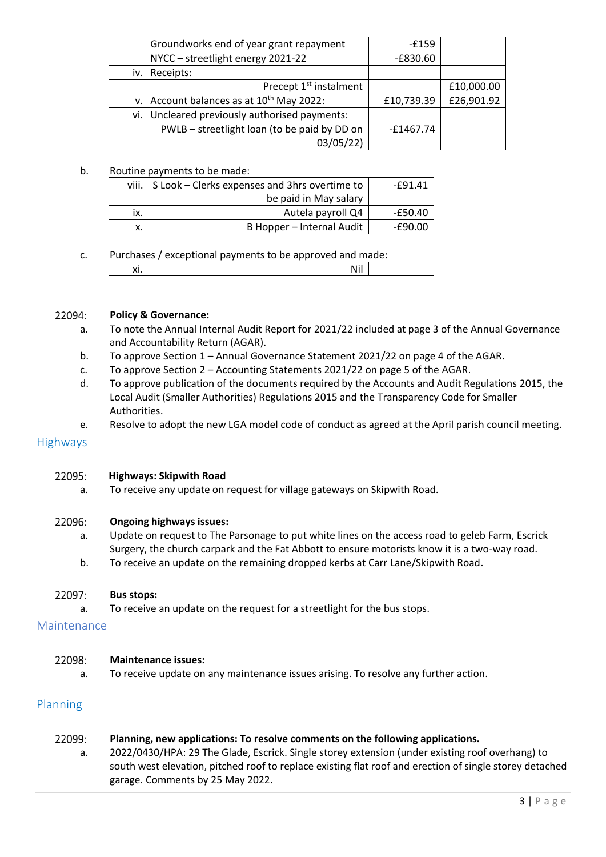|      | Groundworks end of year grant repayment           | -£159       |            |
|------|---------------------------------------------------|-------------|------------|
|      | NYCC - streetlight energy 2021-22                 | $-E830.60$  |            |
| iv.l | Receipts:                                         |             |            |
|      | Precept 1 <sup>st</sup> instalment                |             | £10,000.00 |
| V.   | Account balances as at 10 <sup>th</sup> May 2022: | £10,739.39  | £26,901.92 |
| vi.l | Uncleared previously authorised payments:         |             |            |
|      | PWLB - streetlight loan (to be paid by DD on      | $-£1467.74$ |            |
|      | 03/05/22)                                         |             |            |

### b. Routine payments to be made:

| viii.              | S Look – Clerks expenses and 3hrs overtime to | -£91.41   |
|--------------------|-----------------------------------------------|-----------|
|                    | be paid in May salary                         |           |
| ix.                | Autela payroll Q4                             | $-£50.40$ |
| $\checkmark$<br>Λ. | B Hopper – Internal Audit                     | -£90.00   |

c. Purchases / exceptional payments to be approved and made: xi. <mark>Nil and the set of the set of the set of</mark> the set of the set of the set of the set of the set of the set of the set of the set of the set of the set of the set of the set of the set of the set of the set of the set of

### 22094: **Policy & Governance:**

- a. To note the Annual Internal Audit Report for 2021/22 included at page 3 of the Annual Governance and Accountability Return (AGAR).
- b. To approve Section 1 Annual Governance Statement 2021/22 on page 4 of the AGAR.
- c. To approve Section 2 Accounting Statements 2021/22 on page 5 of the AGAR.
- d. To approve publication of the documents required by the Accounts and Audit Regulations 2015, the Local Audit (Smaller Authorities) Regulations 2015 and the Transparency Code for Smaller Authorities.
- e. Resolve to adopt the new LGA model code of conduct as agreed at the April parish council meeting.

### **Highways**

### 22095: **Highways: Skipwith Road**

a. To receive any update on request for village gateways on Skipwith Road.

### 22096: **Ongoing highways issues:**

- a. Update on request to The Parsonage to put white lines on the access road to geleb Farm, Escrick Surgery, the church carpark and the Fat Abbott to ensure motorists know it is a two-way road.
- b. To receive an update on the remaining dropped kerbs at Carr Lane/Skipwith Road.

### 22097: **Bus stops:**

a. To receive an update on the request for a streetlight for the bus stops.

### Maintenance

### 22098: **Maintenance issues:**

a. To receive update on any maintenance issues arising. To resolve any further action.

### Planning

### 22099: **Planning, new applications: To resolve comments on the following applications.**

a. 2022/0430/HPA: 29 The Glade, Escrick. Single storey extension (under existing roof overhang) to south west elevation, pitched roof to replace existing flat roof and erection of single storey detached garage. Comments by 25 May 2022.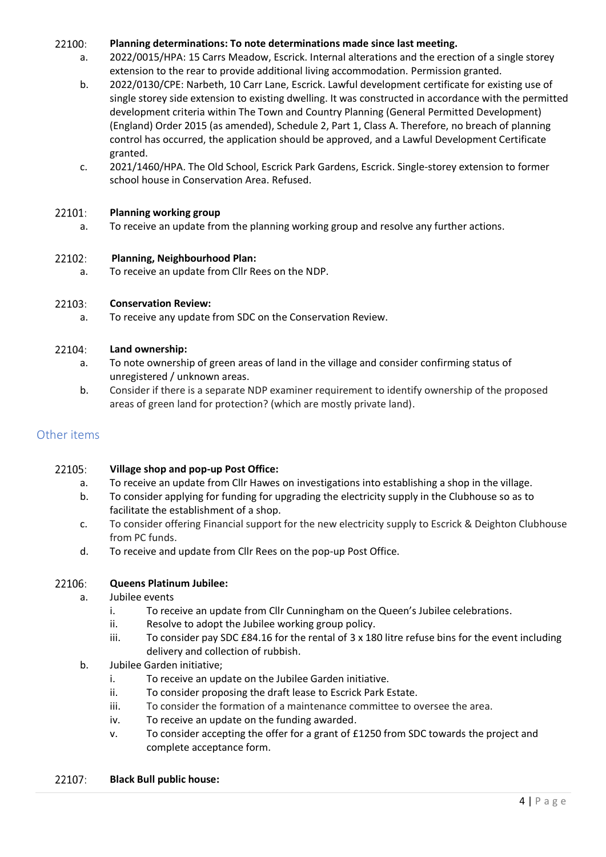### 22100: **Planning determinations: To note determinations made since last meeting.**

- a. 2022/0015/HPA: 15 Carrs Meadow, Escrick. Internal alterations and the erection of a single storey extension to the rear to provide additional living accommodation. Permission granted.
- b. 2022/0130/CPE: Narbeth, 10 Carr Lane, Escrick. Lawful development certificate for existing use of single storey side extension to existing dwelling. It was constructed in accordance with the permitted development criteria within The Town and Country Planning (General Permitted Development) (England) Order 2015 (as amended), Schedule 2, Part 1, Class A. Therefore, no breach of planning control has occurred, the application should be approved, and a Lawful Development Certificate granted.
- c. 2021/1460/HPA. The Old School, Escrick Park Gardens, Escrick. Single-storey extension to former school house in Conservation Area. Refused.

### 22101: **Planning working group**

a. To receive an update from the planning working group and resolve any further actions.

### 22102: **Planning, Neighbourhood Plan:**

a. To receive an update from Cllr Rees on the NDP.

### 22103: **Conservation Review:**

a. To receive any update from SDC on the Conservation Review.

### 22104: **Land ownership:**

- a. To note ownership of green areas of land in the village and consider confirming status of unregistered / unknown areas.
- b. Consider if there is a separate NDP examiner requirement to identify ownership of the proposed areas of green land for protection? (which are mostly private land).

# Other items

### 22105: **Village shop and pop-up Post Office:**

- a. To receive an update from Cllr Hawes on investigations into establishing a shop in the village.
- b. To consider applying for funding for upgrading the electricity supply in the Clubhouse so as to facilitate the establishment of a shop.
- c. To consider offering Financial support for the new electricity supply to Escrick & Deighton Clubhouse from PC funds.
- d. To receive and update from Cllr Rees on the pop-up Post Office.

### 22106: **Queens Platinum Jubilee:**

- a. Jubilee events
	- i. To receive an update from Cllr Cunningham on the Queen's Jubilee celebrations.
	- ii. Resolve to adopt the Jubilee working group policy.
	- iii. To consider pay SDC £84.16 for the rental of 3 x 180 litre refuse bins for the event including delivery and collection of rubbish.
- b. Jubilee Garden initiative;
	- i. To receive an update on the Jubilee Garden initiative.
	- ii. To consider proposing the draft lease to Escrick Park Estate.
	- iii. To consider the formation of a maintenance committee to oversee the area.
	- iv. To receive an update on the funding awarded.
	- v. To consider accepting the offer for a grant of £1250 from SDC towards the project and complete acceptance form.

### 22107: **Black Bull public house:**